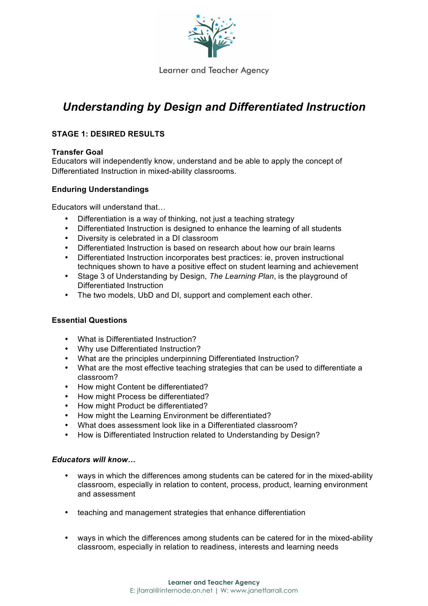

# *Understanding by Design and Differentiated Instruction*

# **STAGE 1: DESIRED RESULTS**

## **Transfer Goal**

Educators will independently know, understand and be able to apply the concept of Differentiated Instruction in mixed-ability classrooms.

## **Enduring Understandings**

Educators will understand that…

- Differentiation is a way of thinking, not just a teaching strategy
- Differentiated Instruction is designed to enhance the learning of all students
- Diversity is celebrated in a DI classroom
- Differentiated Instruction is based on research about how our brain learns
- Differentiated Instruction incorporates best practices: ie, proven instructional techniques shown to have a positive effect on student learning and achievement
- Stage 3 of Understanding by Design, *The Learning Plan*, is the playground of Differentiated Instruction
- The two models, UbD and DI, support and complement each other.

## **Essential Questions**

- What is Differentiated Instruction?
- Why use Differentiated Instruction?
- What are the principles underpinning Differentiated Instruction?
- What are the most effective teaching strategies that can be used to differentiate a classroom?
- How might Content be differentiated?
- How might Process be differentiated?
- How might Product be differentiated?
- How might the Learning Environment be differentiated?
- What does assessment look like in a Differentiated classroom?
- How is Differentiated Instruction related to Understanding by Design?

#### *Educators will know…*

- ways in which the differences among students can be catered for in the mixed-ability classroom, especially in relation to content, process, product, learning environment and assessment
- teaching and management strategies that enhance differentiation
- ways in which the differences among students can be catered for in the mixed-ability classroom, especially in relation to readiness, interests and learning needs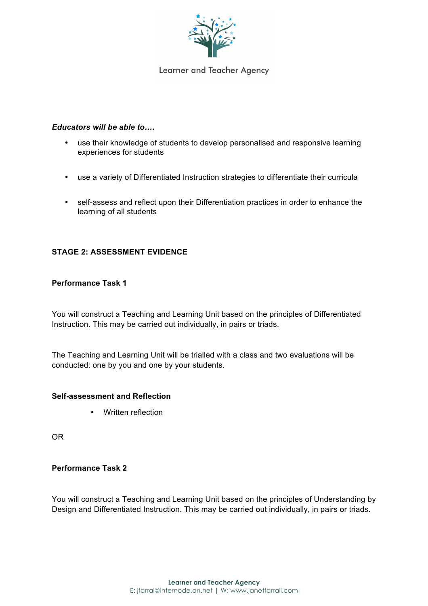

#### *Educators will be able to….*

- use their knowledge of students to develop personalised and responsive learning experiences for students
- use a variety of Differentiated Instruction strategies to differentiate their curricula
- self-assess and reflect upon their Differentiation practices in order to enhance the learning of all students

## **STAGE 2: ASSESSMENT EVIDENCE**

## **Performance Task 1**

You will construct a Teaching and Learning Unit based on the principles of Differentiated Instruction. This may be carried out individually, in pairs or triads.

The Teaching and Learning Unit will be trialled with a class and two evaluations will be conducted: one by you and one by your students.

#### **Self-assessment and Reflection**

• Written reflection

OR

#### **Performance Task 2**

You will construct a Teaching and Learning Unit based on the principles of Understanding by Design and Differentiated Instruction. This may be carried out individually, in pairs or triads.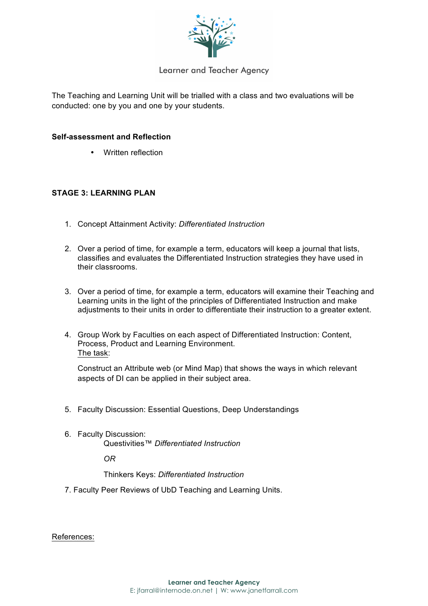

The Teaching and Learning Unit will be trialled with a class and two evaluations will be conducted: one by you and one by your students.

#### **Self-assessment and Reflection**

• Written reflection

#### **STAGE 3: LEARNING PLAN**

- 1. Concept Attainment Activity: *Differentiated Instruction*
- 2. Over a period of time, for example a term, educators will keep a journal that lists, classifies and evaluates the Differentiated Instruction strategies they have used in their classrooms.
- 3. Over a period of time, for example a term, educators will examine their Teaching and Learning units in the light of the principles of Differentiated Instruction and make adjustments to their units in order to differentiate their instruction to a greater extent.
- 4. Group Work by Faculties on each aspect of Differentiated Instruction: Content, Process, Product and Learning Environment. The task:

Construct an Attribute web (or Mind Map) that shows the ways in which relevant aspects of DI can be applied in their subject area.

- 5. Faculty Discussion: Essential Questions, Deep Understandings
- 6. Faculty Discussion: Questivities™ *Differentiated Instruction*

*OR*

Thinkers Keys: *Differentiated Instruction*

7. Faculty Peer Reviews of UbD Teaching and Learning Units.

References: